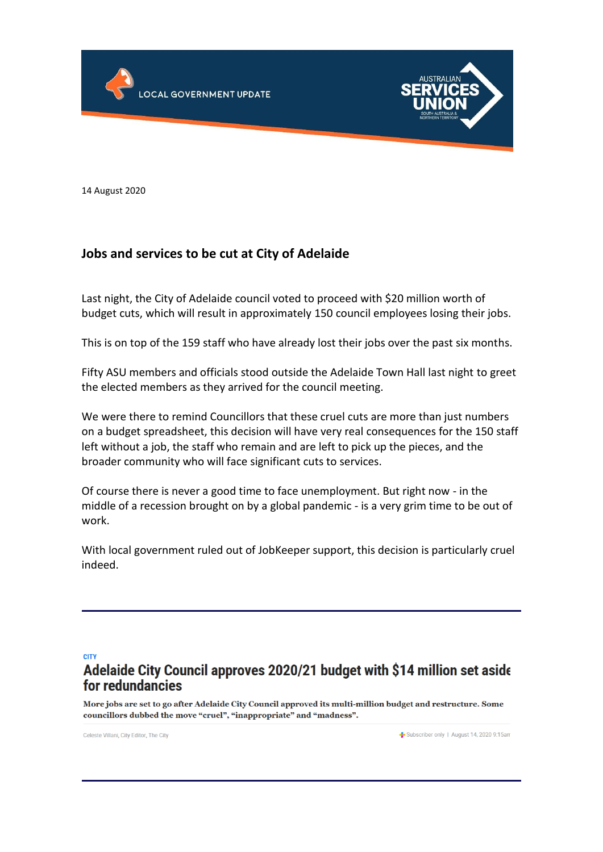



14 August 2020

## **Jobs and services to be cut at City of Adelaide**

Last night, the City of Adelaide council voted to proceed with \$20 million worth of budget cuts, which will result in approximately 150 council employees losing their jobs.

This is on top of the 159 staff who have already lost their jobs over the past six months.

Fifty ASU members and officials stood outside the Adelaide Town Hall last night to greet the elected members as they arrived for the council meeting.

We were there to remind Councillors that these cruel cuts are more than just numbers on a budget spreadsheet, this decision will have very real consequences for the 150 staff left without a job, the staff who remain and are left to pick up the pieces, and the broader community who will face significant cuts to services.

Of course there is never a good time to face unemployment. But right now - in the middle of a recession brought on by a global pandemic - is a very grim time to be out of work.

With local government ruled out of JobKeeper support, this decision is particularly cruel indeed.

**CITY** 

# Adelaide City Council approves 2020/21 budget with \$14 million set aside for redundancies

More jobs are set to go after Adelaide City Council approved its multi-million budget and restructure. Some councillors dubbed the move "cruel", "inappropriate" and "madness".

Celeste Villani, City Editor, The City

Subscriber only | August 14, 2020 9:15am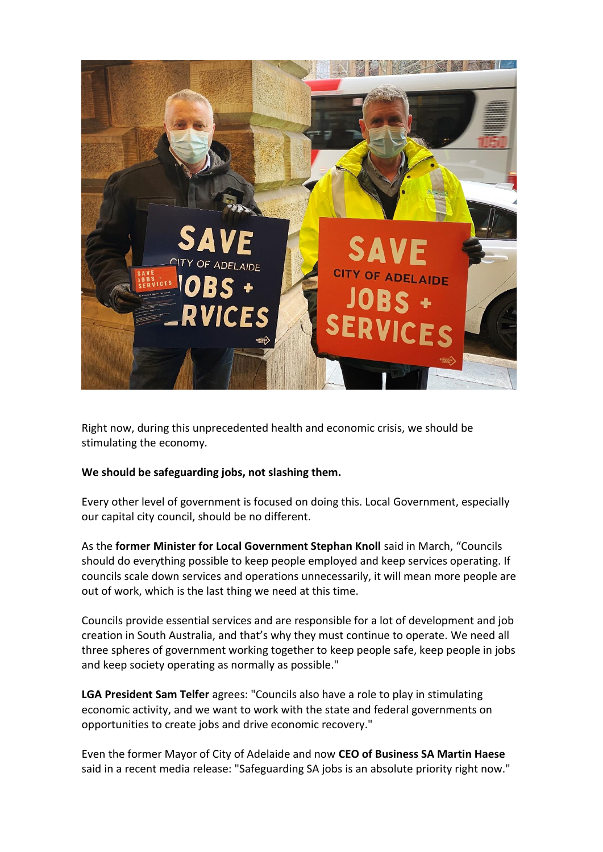

Right now, during this unprecedented health and economic crisis, we should be stimulating the economy.

### **We should be safeguarding jobs, not slashing them.**

Every other level of government is focused on doing this. Local Government, especially our capital city council, should be no different.

As the **former Minister for Local Government Stephan Knoll** said in March, "Councils should do everything possible to keep people employed and keep services operating. If councils scale down services and operations unnecessarily, it will mean more people are out of work, which is the last thing we need at this time.

Councils provide essential services and are responsible for a lot of development and job creation in South Australia, and that's why they must continue to operate. We need all three spheres of government working together to keep people safe, keep people in jobs and keep society operating as normally as possible."

**LGA President Sam Telfer** agrees: "Councils also have a role to play in stimulating economic activity, and we want to work with the state and federal governments on opportunities to create jobs and drive economic recovery."

Even the former Mayor of City of Adelaide and now **CEO of Business SA Martin Haese** said in a recent media release: "Safeguarding SA jobs is an absolute priority right now."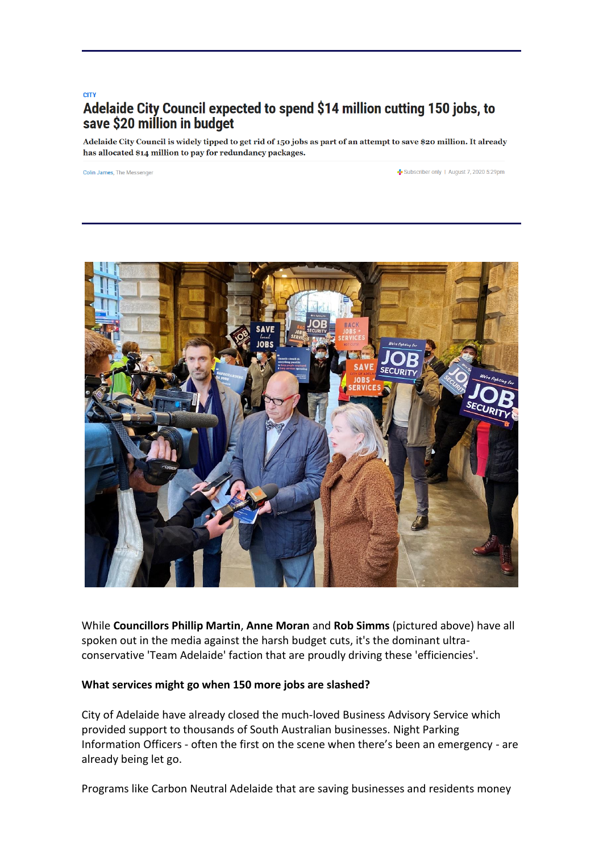### **CITY** Adelaide City Council expected to spend \$14 million cutting 150 jobs, to save \$20 million in budget

Adelaide City Council is widely tipped to get rid of 150 jobs as part of an attempt to save \$20 million. It already has allocated \$14 million to pay for redundancy packages.

Colin James. The Messenger

Subscriber only | August 7, 2020 5:29pm



While **Councillors Phillip Martin**, **Anne Moran** and **Rob Simms** (pictured above) have all spoken out in the media against the harsh budget cuts, it's the dominant ultraconservative 'Team Adelaide' faction that are proudly driving these 'efficiencies'.

#### **What services might go when 150 more jobs are slashed?**

City of Adelaide have already closed the much-loved Business Advisory Service which provided support to thousands of South Australian businesses. Night Parking Information Officers - often the first on the scene when there's been an emergency - are already being let go.

Programs like Carbon Neutral Adelaide that are saving businesses and residents money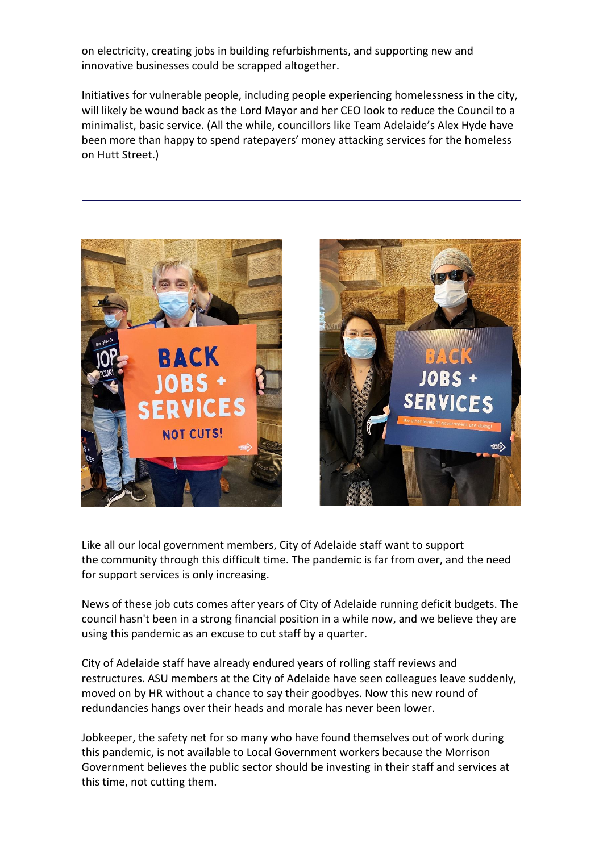on electricity, creating jobs in building refurbishments, and supporting new and innovative businesses could be scrapped altogether.

Initiatives for vulnerable people, including people experiencing homelessness in the city, will likely be wound back as the Lord Mayor and her CEO look to reduce the Council to a minimalist, basic service. (All the while, councillors like Team Adelaide's Alex Hyde have been more than happy to spend ratepayers' money attacking services for the homeless on Hutt Street.)





Like all our local government members, City of Adelaide staff want to support the community through this difficult time. The pandemic is far from over, and the need for support services is only increasing.

News of these job cuts comes after years of City of Adelaide running deficit budgets. The council hasn't been in a strong financial position in a while now, and we believe they are using this pandemic as an excuse to cut staff by a quarter.

City of Adelaide staff have already endured years of rolling staff reviews and restructures. ASU members at the City of Adelaide have seen colleagues leave suddenly, moved on by HR without a chance to say their goodbyes. Now this new round of redundancies hangs over their heads and morale has never been lower.

Jobkeeper, the safety net for so many who have found themselves out of work during this pandemic, is not available to Local Government workers because the Morrison Government believes the public sector should be investing in their staff and services at this time, not cutting them.